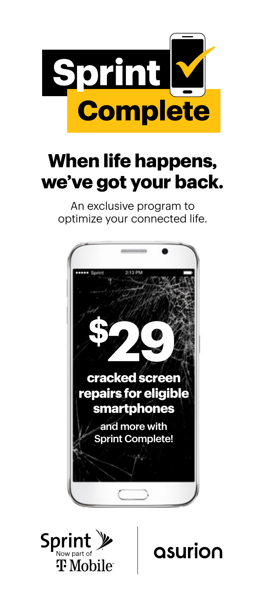

## **When life happens, we've got your back.**

An exclusive program to optimize your connected life.





asurion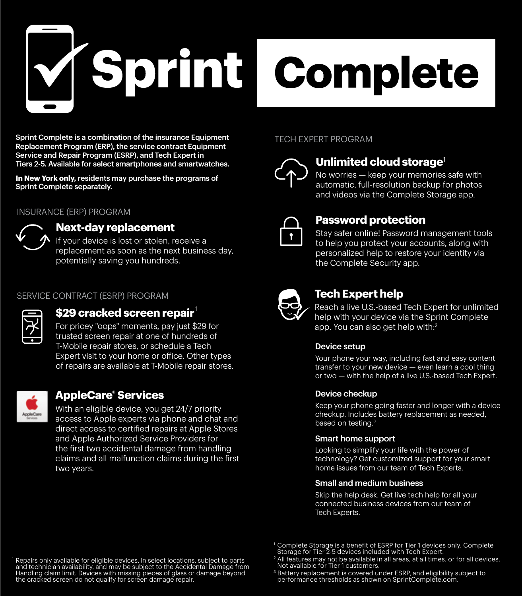

Sprint Complete is a combination of the insurance Equipment Replacement Program (ERP), the service contract Equipment Service and Repair Program (ESRP), and Tech Expert in Tiers 2-5. Available for select smartphones and smartwatches.

**In New York only,** residents may purchase the programs of Sprint Complete separately.

### INSURANCE (ERP) PROGRAM



### **Next-day replacement**

If your device is lost or stolen, receive a replacement as soon as the next business day, potentially saving you hundreds.

### SERVICE CONTRACT (ESRP) PROGRAM



### **\$29 cracked screen repair**

For pricey "oops" moments, pay just \$29 for trusted screen repair at one of hundreds of T-Mobile repair stores, or schedule a Tech Expert visit to your home or office. Other types of repairs are available at T-Mobile repair stores.



### **AppleCare® Services**

With an eligible device, you get 24/7 priority access to Apple experts via phone and chat and direct access to certified repairs at Apple Stores and Apple Authorized Service Providers for the first two accidental damage from handling claims and all malfunction claims during the first two years.

### TECH EXPERT PROGRAM



### **Unlimited cloud storage<sup>1</sup>**  $m$  classes with  $\alpha$  and  $\alpha$

No worries – keep your memories safe with automatic, full-resolution backup for photos and videos via the Complete Storage app. riacos via the complete otorage app.

#### **Password protection** are placed with the fulfilled with the fulfilled with  $\mu$

Stay safer online! Password management tools to help you protect your accounts, along with personalized help to restore your identity via the Complete Security app. u ranzeu<br>.



### **video Find Tech Expert help**

each a live U.S.-based Tech Expert for unlimited help with your device via the Sprint Complete app. You can also get help with:<sup>2</sup> time u.s.-pased recirexpert for u  $\kappa$  fou can also get help with:  $\epsilon$ 

### Device setup

Your phone your way, including fast and easy content ERP Insurance Coverage transfer to your new device — even learn a cool thing or two — with the help of a live U.S.-based Tech Expert.

#### Device checkup vice cneckup

Keep your phone going faster and longer with a device checkup. Includes battery replacement as needed,<br>beced on testing <sup>3</sup> based on testing.<sup>3</sup>

### Smart home support

Looking to simplify your life with the power of<br>toobpology? Get queternized support for your sma technology? Get customized support for your smart home issues from our team of Tech Experts.

### Small and medium business

Skip the help desk. Get live tech help for all your connected business devices from our team of Tech Experts. In California, Asurion Protection Services Insurance Agency, LLC,  $C_0$  Exportection  $P$ 

and technician availability, and may be subject to the Accidental Damage<br>Handling claim limit. Devices with missing pieces of glass or damage bey the cracked screen do not qualify for screen damage repair. Repairs only available for eligible devices, in select locations, subject to parts<br>and technician availability, and may be subject to the Accidental Damage from<br>Handling claim limit. Devices with missing pieces of glass or

<sup>1</sup> Complete Storage is a benefit of ESRP for Tier 1 devices only. Complete Storage for Tier 2-5 devices included with Tech Expert. 1 Complete Storege is a benefit of ESPP for Tier 1 devices only Complete Storage for Tier 2-5 devices included with Tech Expert.

<sup>&</sup>lt;sup>2</sup> All features may not be available in all areas, at all times, or for all devices. Not available for Tier 1 customers.

<sup>&</sup>lt;sup>3</sup> Battery replacement is covered under ESRP, and eligibility subject to performance thresholds as shown on SprintComplete.com.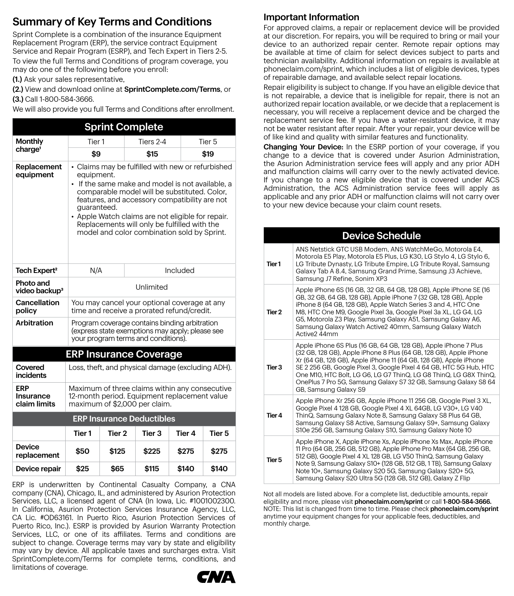### Summary of Key Terms and Conditions

Sprint Complete is a combination of the insurance Equipment Replacement Program (ERP), the service contract Equipment Service and Repair Program (ESRP), and Tech Expert in Tiers 2-5. To view the full Terms and Conditions of program coverage, you may do one of the following before you enroll:<br>(2) A letter

(1.) Ask your sales representative,

(2.) View and download online at SprintComplete.com/Terms, or **(3.)** Call 1-800-584-3666.

We will also provide you full Terms and Conditions after enrollment.

|                                        |                                                                                                                                                                                                                                                                                                                                                                                         | <b>Sprint Complete</b> |                               |        |                   |  |
|----------------------------------------|-----------------------------------------------------------------------------------------------------------------------------------------------------------------------------------------------------------------------------------------------------------------------------------------------------------------------------------------------------------------------------------------|------------------------|-------------------------------|--------|-------------------|--|
| <b>Monthly</b>                         | Tier <sub>1</sub>                                                                                                                                                                                                                                                                                                                                                                       |                        | Tiers 2-4                     |        | Tier <sub>5</sub> |  |
| charge <sup>1</sup>                    | \$9                                                                                                                                                                                                                                                                                                                                                                                     |                        | \$15                          |        | \$19              |  |
| Replacement<br>equipment               | • Claims may be fulfilled with new or refurbished<br>equipment.<br>• If the same make and model is not available, a<br>comparable model will be substituted. Color,<br>features, and accessory compatibility are not<br>quaranteed.<br>• Apple Watch claims are not eligible for repair.<br>Replacements will only be fulfilled with the<br>model and color combination sold by Sprint. |                        |                               |        |                   |  |
| Tech Expert <sup>2</sup>               | N/A                                                                                                                                                                                                                                                                                                                                                                                     |                        | Included                      |        |                   |  |
| Photo and<br>video backup <sup>3</sup> | <b>Unlimited</b>                                                                                                                                                                                                                                                                                                                                                                        |                        |                               |        |                   |  |
| Cancellation<br>policy                 | You may cancel your optional coverage at any<br>time and receive a prorated refund/credit.                                                                                                                                                                                                                                                                                              |                        |                               |        |                   |  |
| Arbitration                            | Program coverage contains binding arbitration<br>(express state exemptions may apply; please see<br>your program terms and conditions).                                                                                                                                                                                                                                                 |                        |                               |        |                   |  |
|                                        |                                                                                                                                                                                                                                                                                                                                                                                         |                        | <b>ERP Insurance Coverage</b> |        |                   |  |
| Covered<br>incidents                   | Loss, theft, and physical damage (excluding ADH).                                                                                                                                                                                                                                                                                                                                       |                        |                               |        |                   |  |
| ERP<br>Insurance<br>claim limits       | Maximum of three claims within any consecutive<br>12-month period. Equipment replacement value<br>maximum of \$2,000 per claim.                                                                                                                                                                                                                                                         |                        |                               |        |                   |  |
| <b>ERP Insurance Deductibles</b>       |                                                                                                                                                                                                                                                                                                                                                                                         |                        |                               |        |                   |  |
|                                        | Tier 1                                                                                                                                                                                                                                                                                                                                                                                  | Tier 2                 | Tier 3                        | Tier 4 | Tier 5            |  |
| <b>Device</b><br>replacement           | \$50                                                                                                                                                                                                                                                                                                                                                                                    | \$125                  | \$225                         | \$275  | \$275             |  |
| Device repair                          | \$25<br>\$115<br>\$65<br>\$140                                                                                                                                                                                                                                                                                                                                                          |                        |                               |        | \$140             |  |

ERP is underwritten by Continental Casualty Company, a CNA  $\sum_{i=1}^{n}$  is an activitient by commental company (CNA), Chicago, IL, and administered by Asurion Protection Services, LLC, a licensed agent of CNA (In Iowa, Lic. #1001002300. Services, LLC, a licensed agent or CIVA (in lowa, LIC. #1001002300.<br>In California, Asurion Protection Services Insurance Agency, LLC, CA Lic. #OD63161. In Puerto Rico, Asurion Protection Services of Puerto Rico, Inc.). ESRP is provided by Asurion Warranty Protection Services, LLC, or one of its affiliates. Terms and conditions are subject to change. Coverage terms may vary by state and eligibility may vary by device. All applicable taxes and surcharges extra. Visit SprintComplete.com/Terms for complete terms, conditions, and limitations of coverage.  $\overline{11}$  California, Asuffort Protection services insurance Agency, LLC,

### Important Information

For approved claims, a repair or replacement device will be provided at our discretion. For repairs, you will be required to bring or mail your device to an authorized repair center. Remote repair options may be available at time of claim for select devices subject to parts and technician availability. Additional information on repairs is available at phoneclaim.com/sprint, which includes a list of eligible devices, types of repairable damage, and available select repair locations.

Repair eligibility is subject to change. If you have an eligible device that is not repairable, a device that is ineligible for repair, there is not an authorized repair location available, or we decide that a replacement is necessary, you will receive a replacement device and be charged the replacement service fee. If you have a water-resistant device, it may not be water resistant after repair. After your repair, your device will be of like kind and quality with similar features and functionality.

Changing Your Device: In the ESRP portion of your coverage, if you change to a device that is covered under Asurion Administration, the Asurion Administration service fees will apply and any prior ADH and malfunction claims will carry over to the newly activated device. If you change to a new eligible device that is covered under ACS Administration, the ACS Administration service fees will apply as applicable and any prior ADH or malfunction claims will not carry over to your new device because your claim count resets.

|        | <b>Device Schedule</b>                                                                                                                                                                                                                                                                                                                                                                                                                             |
|--------|----------------------------------------------------------------------------------------------------------------------------------------------------------------------------------------------------------------------------------------------------------------------------------------------------------------------------------------------------------------------------------------------------------------------------------------------------|
| Tier 1 | ANS Netstick GTC USB Modem. ANS WatchMeGo. Motorola E4.<br>Motorola E5 Play, Motorola E5 Plus, LG K30, LG Stylo 4, LG Stylo 6,<br>LG Tribute Dynasty, LG Tribute Empire, LG Tribute Royal, Samsung<br>Galaxy Tab A 8.4, Samsung Grand Prime, Samsung J3 Achieve,<br>Samsung J7 Refine, Sonim XP3                                                                                                                                                   |
| Tier 2 | Apple iPhone 6S (16 GB, 32 GB, 64 GB, 128 GB), Apple iPhone SE (16<br>GB, 32 GB, 64 GB, 128 GB), Apple iPhone 7 (32 GB, 128 GB), Apple<br>iPhone 8 (64 GB, 128 GB), Apple Watch Series 3 and 4, HTC One<br>M8, HTC One M9, Google Pixel 3a, Google Pixel 3a XL, LG G4, LG<br>G5, Motorola Z3 Play, Samsung Galaxy A51, Samsung Galaxy A6,<br>Samsung Galaxy Watch Active2 40mm, Samsung Galaxy Watch<br>Active2 44mm                               |
| Tier 3 | Apple iPhone 6S Plus (16 GB, 64 GB, 128 GB), Apple iPhone 7 Plus<br>(32 GB, 128 GB), Apple iPhone 8 Plus (64 GB, 128 GB), Apple iPhone<br>Xr (64 GB, 128 GB), Apple iPhone 11 (64 GB, 128 GB), Apple iPhone<br>SE 2 256 GB, Google Pixel 3, Google Pixel 4 64 GB, HTC 5G Hub, HTC<br>One M10, HTC Bolt, LG G6, LG G7 ThinQ, LG G8 ThinQ, LG G8X ThinQ,<br>OnePlus 7 Pro 5G, Samsung Galaxy S7 32 GB, Samsung Galaxy S8 64<br>GB, Samsung Galaxy S9 |
| Tier 4 | Apple iPhone Xr 256 GB, Apple iPhone 11 256 GB, Google Pixel 3 XL,<br>Google Pixel 4 128 GB, Google Pixel 4 XL 64GB, LG V30+, LG V40<br>ThinQ, Samsung Galaxy Note 8, Samsung Galaxy S8 Plus 64 GB,<br>Samsung Galaxy S8 Active, Samsung Galaxy S9+, Samsung Galaxy<br>S10e 256 GB, Samsung Galaxy S10, Samsung Galaxy Note 10                                                                                                                     |
| Tier 5 | Apple iPhone X, Apple iPhone Xs, Apple iPhone Xs Max, Apple iPhone<br>11 Pro (64 GB, 256 GB, 512 GB), Apple iPhone Pro Max (64 GB, 256 GB,<br>512 GB), Google Pixel 4 XL 128 GB, LG V50 ThinQ, Samsung Galaxy<br>Note 9, Samsung Galaxy S10+ (128 GB, 512 GB, 1 TB), Samsung Galaxy<br>Note 10+, Samsung Galaxy S20 5G, Samsung Galaxy S20+ 5G,<br>Samsung Galaxy S20 Ultra 5G (128 GB, 512 GB), Galaxy Z Flip                                     |

Not all models are listed above. For a complete list, deductible amounts, repair eligibility and more, please visit phoneclaim.com/sprint or call 1-800-584-3666. NOTE: This list is changed from time to time. Please check phoneclaim.com/sprint anytime your equipment changes for your applicable fees, deductibles, and monthly charge.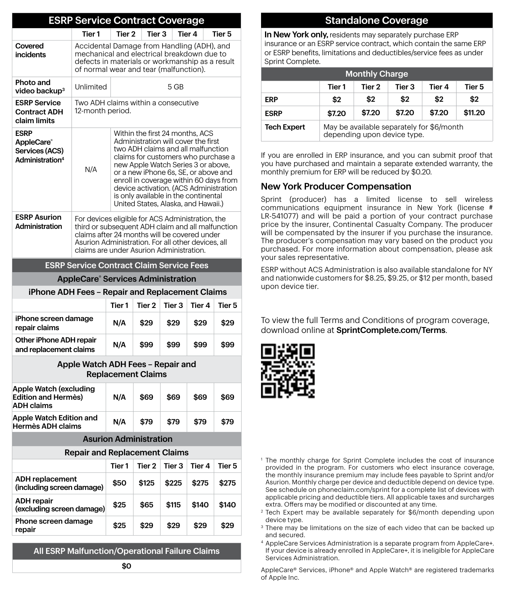|                                                                            | <b>ESRP Service Contract Coverage</b>                                                                                                                                                                                                                   |                                                                                                                                                                                                                                                                                                                                                                                                      |                   |        |        |                   |
|----------------------------------------------------------------------------|---------------------------------------------------------------------------------------------------------------------------------------------------------------------------------------------------------------------------------------------------------|------------------------------------------------------------------------------------------------------------------------------------------------------------------------------------------------------------------------------------------------------------------------------------------------------------------------------------------------------------------------------------------------------|-------------------|--------|--------|-------------------|
|                                                                            | Tier <sub>1</sub>                                                                                                                                                                                                                                       | Tier 2                                                                                                                                                                                                                                                                                                                                                                                               | Tier 3            |        | Tier 4 | Tier <sub>5</sub> |
| Covered<br><i>incidents</i>                                                | Accidental Damage from Handling (ADH), and<br>mechanical and electrical breakdown due to<br>defects in materials or workmanship as a result<br>of normal wear and tear (malfunction).                                                                   |                                                                                                                                                                                                                                                                                                                                                                                                      |                   |        |        |                   |
| Photo and<br>video backup <sup>3</sup>                                     | Unlimited                                                                                                                                                                                                                                               | 5 GB                                                                                                                                                                                                                                                                                                                                                                                                 |                   |        |        |                   |
| <b>ESRP Service</b><br><b>Contract ADH</b><br>claim limits                 | Two ADH claims within a consecutive<br>12-month period.                                                                                                                                                                                                 |                                                                                                                                                                                                                                                                                                                                                                                                      |                   |        |        |                   |
| <b>ESRP</b><br>AppleCare®<br>Services (ACS)<br>Administration <sup>4</sup> | N/A                                                                                                                                                                                                                                                     | Within the first 24 months, ACS<br>Administration will cover the first<br>two ADH claims and all malfunction<br>claims for customers who purchase a<br>new Apple Watch Series 3 or above,<br>or a new iPhone 6s, SE, or above and<br>enroll in coverage within 60 days from<br>device activation. (ACS Administration<br>is only available in the continental<br>United States, Alaska, and Hawaii.) |                   |        |        |                   |
| <b>ESRP Asurion</b><br>Administration                                      | For devices eligible for ACS Administration, the<br>third or subsequent ADH claim and all malfunction<br>claims after 24 months will be covered under<br>Asurion Administration. For all other devices, all<br>claims are under Asurion Administration. |                                                                                                                                                                                                                                                                                                                                                                                                      |                   |        |        |                   |
| <b>ESRP Service Contract Claim Service Fees</b>                            |                                                                                                                                                                                                                                                         |                                                                                                                                                                                                                                                                                                                                                                                                      |                   |        |        |                   |
| <b>AppleCare<sup>®</sup> Services Administration</b>                       |                                                                                                                                                                                                                                                         |                                                                                                                                                                                                                                                                                                                                                                                                      |                   |        |        |                   |
| iPhone ADH Fees - Repair and Replacement Claims                            |                                                                                                                                                                                                                                                         |                                                                                                                                                                                                                                                                                                                                                                                                      |                   |        |        |                   |
|                                                                            |                                                                                                                                                                                                                                                         | Tier <sub>1</sub>                                                                                                                                                                                                                                                                                                                                                                                    | Tier <sub>2</sub> | Tier 3 | Tier 4 | Tier <sub>5</sub> |
| iPhone screen damage<br>repair claims                                      |                                                                                                                                                                                                                                                         | N/A                                                                                                                                                                                                                                                                                                                                                                                                  | \$29              | \$29   | \$29   | \$29              |
| Other iPhone ADH repair<br>and replacement claims                          |                                                                                                                                                                                                                                                         | N/A                                                                                                                                                                                                                                                                                                                                                                                                  | \$99              | \$99   | \$99   | \$99              |

### Apple Watch ADH Fees – Repair and Replacement Claims

| Apple Watch (excluding<br>Edition and Hermès)<br><b>ADH claims</b> | N/A | \$69 | \$69 | \$69 | \$69 |
|--------------------------------------------------------------------|-----|------|------|------|------|
| Apple Watch Edition and<br>Hermès ADH claims                       | N/A | \$79 | \$79 | \$79 | \$79 |

### Asurion Administration

| <b>Repair and Replacement Claims</b>                |        |        |        |        |        |
|-----------------------------------------------------|--------|--------|--------|--------|--------|
|                                                     | Tier 1 | Tier 2 | Tier 3 | Tier 4 | Tier 5 |
| <b>ADH</b> replacement<br>(including screen damage) | \$50   | \$125  | \$225  | \$275  | \$275  |
| <b>ADH</b> repair<br>(excluding screen damage)      | \$25   | \$65   | \$115  | \$140  | \$140  |
| Phone screen damage<br>repair                       | \$25   | \$29   | \$29   | \$29   | \$29   |

All ESRP Malfunction/Operational Failure Claims

### Standalone Coverage

In New York only, residents may separately purchase ERP insurance or an ESRP service contract, which contain the same ERP ERP or ESRP benefits, limitations and deductibles/service fees as under Sprint Complete.

| <b>Monthly Charge</b> |                                                                          |        |        |        |        |
|-----------------------|--------------------------------------------------------------------------|--------|--------|--------|--------|
|                       | Tier 1                                                                   | Tier 2 | Tier 3 | Tier 4 | Tier 5 |
| <b>ERP</b>            | \$2<br>\$2<br>\$2<br>\$2                                                 |        |        |        | \$2    |
| <b>ESRP</b>           | \$7.20<br>\$11.20<br>\$7.20<br>\$7.20<br>\$7.20                          |        |        |        |        |
| <b>Tech Expert</b>    | May be available separately for \$6/month<br>depending upon device type. |        |        |        |        |

If you are enrolled in ERP insurance, and you can submit proof that you have purchased and maintain a separate extended warranty, the monthly premium for ERP will be reduced by \$0.20. \$0.20.

### New York Producer Compensation

Sprint (producer) has a limited license to sell wireless communications equipment insurance in New York (license # LR-541077) and will be paid a portion of your contract purchase price by the insurer, Continental Casualty Company. The producer will be compensated by the insurer if you purchase the insurance. The producer's compensation may vary based on the product you purchased. For more information about compensation, please ask your sales representative.

ESRP without ACS Administration is also available standalone for NY and nationwide customers for \$8.25, \$9.25, or \$12 per month, based upon device tier.

To view the full Terms and Conditions of program coverage, download online at SprintComplete.com/Terms.



- <sup>1</sup> The monthly charge for Sprint Complete includes the cost of insurance provided in the program. For customers who elect insurance coverage, the monthly insurance premium may include fees payable to Sprint and/or Asurion. Monthly charge per device and deductible depend on device type. See schedule on phoneclaim.com/sprint for a complete list of devices with applicable pricing and deductible tiers. All applicable taxes and surcharges extra. Offers may be modified or discounted at any time. 1 2 3 4 4  $\overline{4}$
- <sup>2</sup> Tech Expert may be available separately for \$6/month depending upon device type.
- <sup>3</sup> There may be limitations on the size of each video that can be backed up and secured.
- <sup>4</sup> AppleCare Services Administration is a separate program from AppleCare+. If your device is already enrolled in AppleCare+, it is ineligible for AppleCare Services Administration.

AppleCare® Services, iPhone® and Apple Watch® are registered trademarks of Apple Inc.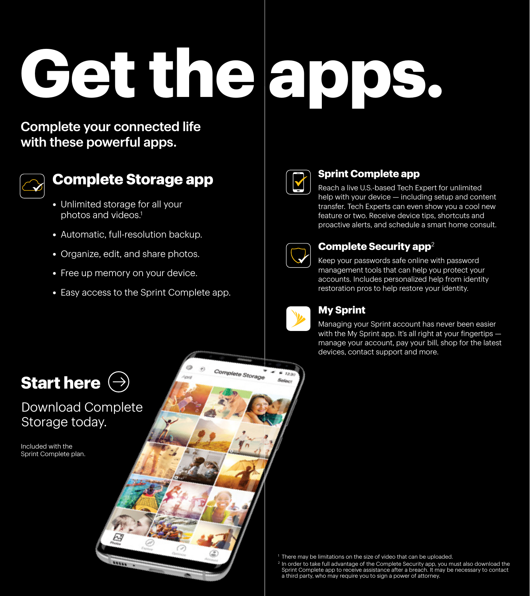# **Get the apps. C**

### Complete your connected life vith these powerful apps. with those power is appe.



### **Complete Storage app**  $\sim$

- Unlimited storage for all your photos and videos.<sup>1</sup>
- Automatic, full-resolution backup.  $\mathcal{P}$  . Payment in formation (if applicable)
- Organize, edit, and share photos.
- Free up memory on your device.
- $\bullet\,$  Easy access to the Sprint Complete app. • Easy access to t



### **Sprint Complete app**

proactive alerts, and schedule a smart home consult. Reach a live U.S.-based Tech Expert for unlimited help with your device — including setup and content transfer. Tech Experts can even show you a cool new feature or two. Receive device tips, shortcuts and



### **Complete Security app**<sup>2</sup>

management tools that carritely you protect your<br>accounts. Includes personalized help from identity restoration pros to help restore your identity. Keep your passwords safe online with password management tools that can help you protect your



### **abilie at T-Mobile Service and Repair store locations in Among Sprint**  $\mathcal{V}_{\mathbf{z}}$

Managing your Sprint account has never been easier with the My Sprint app. It's all right at your fingertips  $$ manage your account, pay your bill, shop for the latest devices, contact support and more.

returned to you within 5 business days in most cases.



### Download Complete Storage today.

 $\mu$ 

Sprint Complete plan.



1 There may be limitations on the size of video that can be uploaded.

2 In order to take full advantage of the Complete Security app, you must also download the Sprint Complete app to receive assistance after a breach. It may be necessary to contact a third party, who may require you to sign a power of attorney.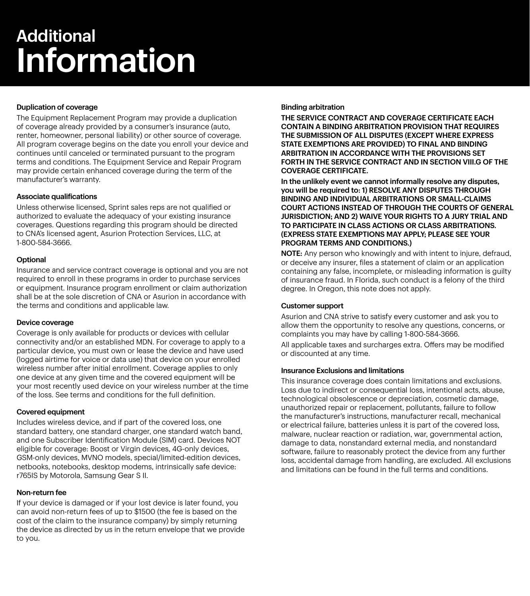## Additional Information

### Duplication of coverage

The Equipment Replacement Program may provide a duplication of coverage already provided by a consumer's insurance (auto, renter, homeowner, personal liability) or other source of coverage. All program coverage begins on the date you enroll your device and continues until canceled or terminated pursuant to the program terms and conditions. The Equipment Service and Repair Program may provide certain enhanced coverage during the term of the manufacturer's warranty.

### Associate qualifications

Unless otherwise licensed, Sprint sales reps are not qualified or authorized to evaluate the adequacy of your existing insurance coverages. Questions regarding this program should be directed to CNA's licensed agent, Asurion Protection Services, LLC, at 1-800-584-3666.

### **Optional**

Insurance and service contract coverage is optional and you are not required to enroll in these programs in order to purchase services or equipment. Insurance program enrollment or claim authorization shall be at the sole discretion of CNA or Asurion in accordance with the terms and conditions and applicable law.

### Device coverage

Coverage is only available for products or devices with cellular connectivity and/or an established MDN. For coverage to apply to a particular device, you must own or lease the device and have used (logged airtime for voice or data use) that device on your enrolled wireless number after initial enrollment. Coverage applies to only one device at any given time and the covered equipment will be your most recently used device on your wireless number at the time of the loss. See terms and conditions for the full definition.

### Covered equipment

Includes wireless device, and if part of the covered loss, one standard battery, one standard charger, one standard watch band, and one Subscriber Identification Module (SIM) card. Devices NOT eligible for coverage: Boost or Virgin devices, 4G-only devices, GSM-only devices, MVNO models, special/limited-edition devices, netbooks, notebooks, desktop modems, intrinsically safe device: r765IS by Motorola, Samsung Gear S II.

### Non-return fee

If your device is damaged or if your lost device is later found, you can avoid non-return fees of up to \$1500 (the fee is based on the cost of the claim to the insurance company) by simply returning the device as directed by us in the return envelope that we provide to you.

### Binding arbitration

THE SERVICE CONTRACT AND COVERAGE CERTIFICATE EACH CONTAIN A BINDING ARBITRATION PROVISION THAT REQUIRES THE SUBMISSION OF ALL DISPUTES (EXCEPT WHERE EXPRESS STATE EXEMPTIONS ARE PROVIDED) TO FINAL AND BINDING ARBITRATION IN ACCORDANCE WITH THE PROVISIONS SET FORTH IN THE SERVICE CONTRACT AND IN SECTION VIII.G OF THE COVERAGE CERTIFICATE.

In the unlikely event we cannot informally resolve any disputes, you will be required to: 1) RESOLVE ANY DISPUTES THROUGH BINDING AND INDIVIDUAL ARBITRATIONS OR SMALL-CLAIMS COURT ACTIONS INSTEAD OF THROUGH THE COURTS OF GENERAL JURISDICTION; AND 2) WAIVE YOUR RIGHTS TO A JURY TRIAL AND TO PARTICIPATE IN CLASS ACTIONS OR CLASS ARBITRATIONS. (EXPRESS STATE EXEMPTIONS MAY APPLY; PLEASE SEE YOUR PROGRAM TERMS AND CONDITIONS.)

NOTE: Any person who knowingly and with intent to injure, defraud, or deceive any insurer, files a statement of claim or an application containing any false, incomplete, or misleading information is guilty of insurance fraud. In Florida, such conduct is a felony of the third degree. In Oregon, this note does not apply.

### Customer support

Asurion and CNA strive to satisfy every customer and ask you to allow them the opportunity to resolve any questions, concerns, or complaints you may have by calling 1-800-584-3666.

All applicable taxes and surcharges extra. Offers may be modified or discounted at any time.

### Insurance Exclusions and limitations

This insurance coverage does contain limitations and exclusions. Loss due to indirect or consequential loss, intentional acts, abuse, technological obsolescence or depreciation, cosmetic damage, unauthorized repair or replacement, pollutants, failure to follow the manufacturer's instructions, manufacturer recall, mechanical or electrical failure, batteries unless it is part of the covered loss, malware, nuclear reaction or radiation, war, governmental action, damage to data, nonstandard external media, and nonstandard software, failure to reasonably protect the device from any further loss, accidental damage from handling, are excluded. All exclusions and limitations can be found in the full terms and conditions.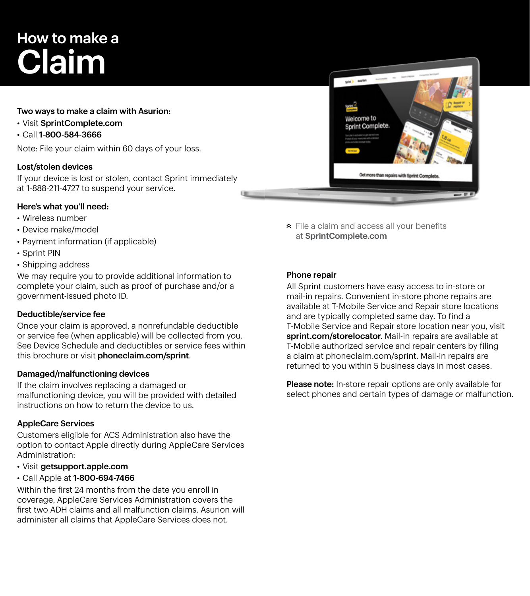## How to make a Claim

### Two ways to make a claim with Asurion:

- Visit SprintComplete.com<br> $\sim$  2011,2000,504,0000
- Call 1-800-584-3666

with these called allows.<br>Note: File your claim within 60 days of your loss.

### Lost/stolen devices

If your device is lost or stolen, contact Sprint immediately at 1-888-211-4727 to suspend your service.

### Here's what you'll need:

- Wireless number
- Device make/model
- Device make/moder<br>• Payment information (if applicable)
- $\mathsf{I} \mathsf{N}$  and share photos. The photos is a share photos of  $\mathsf{N}$  and share photos. • Sprint PIN
- Shipping address

we may require you to provide additional information to • Easy access to the Sprint Complete app. government-issued photo ID. complete your claim, such as proof of purchase and/or a

### Deductible/service fee

Once your claim is approved, a nonrefundable deductible or service fee (when applicable) will be collected from you. See Device Schedule and deductibles or service fees within this brochure or visit **phoneclaim.com/sprint**.

### Damaged/malfunctioning devices

**Samaged/manufictioning devices**<br>If the claim involves replacing a damaged or instructions on how to return the device to us. malfunctioning device, you will be provided with detailed

### AppleCare Services

option to contact Apple directly during AppleCare Services Administration: Customers eligible for ACS Administration also have the

- Visit getsupport.apple.com
- Call Apple at 1-800-694-7466

Within the first 24 months from the date you enroll in coverage, AppleCare Services Administration covers the first two ADH claims and all malfunction claims. Asurion will administer all claims that AppleCare Services does not.

File a claim and access all your benefits at SprintComplete.com

#### Phone repair management tools that can help you protect your

r none repair<br>All Sprint customers have easy access to in-store or mail-in repairs. Convenient in-store phone repairs are available at T-Mobile Service and Repair store locations **and the service of the service** store locations *My Springler* and are typically completed same day. To find a T-Mobile Service and Repair store location near you, visit sprint.com/storelocator. Mail-in repairs are available at T-Mobile authorized service and repair centers by filing a claim at phoneclaim.com/sprint. Mail-in repairs are returned to you within 5 business days in most cases. t customers have easy access to in-stoi

Please note: In-store repair options are only available for select phones and certain types of damage or malfunction.

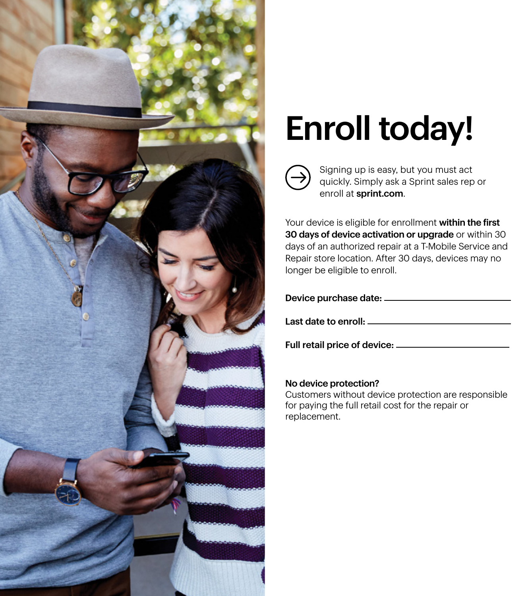

# **Enroll today!**



**Unlimited cloud storage**<sup>1</sup> Signing up is easy, but you must act  $\frac{1}{2}$  ap is easy, but you must act quickly. Simply ask a Sprint sales rep or enroll at **sprint.com**.

Your device is eligible for enrollment within the first 30 days of device activation or upgrade or within 30 days of an authorized repair at a T-Mobile Service and personalized help to restort the book to restore your identity via the second to restore your interest of the s Repair store location. After 30 days, devices may no longer be eligible to enroll.

| Device purchase date: ______ |  |
|------------------------------|--|
| Last date to enroll: ____    |  |

Full retail price of device:

### No device protection?

Customers without device protection are responsible for paying the full retail cost for the repair or checkup. Includes battery replacement as needed,  $\epsilon$ based on testing.3 replacement.